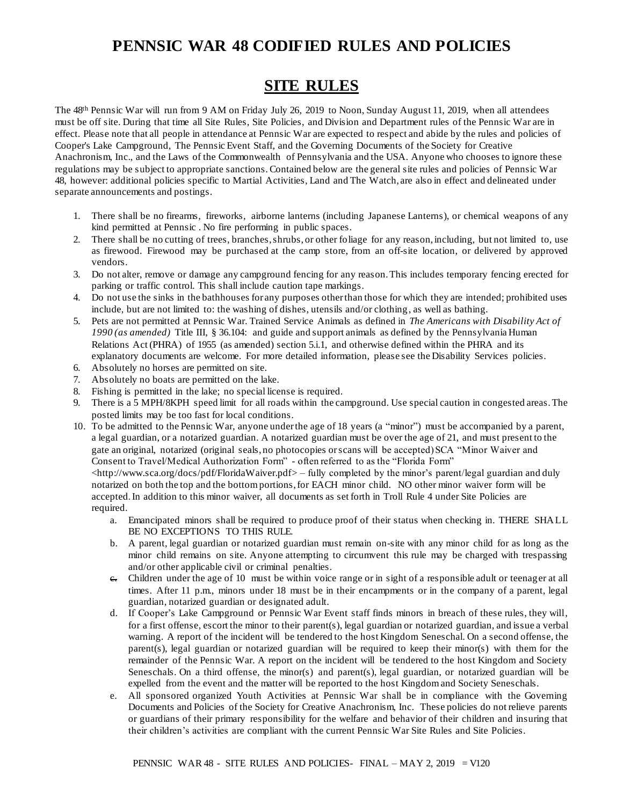# **PENNSIC WAR 48 CODIFIED RULES AND POLICIES**

# **SITE RULES**

The 48<sup>th</sup> Pennsic War will run from 9 AM on Friday July 26, 2019 to Noon, Sunday August 11, 2019, when all attendees must be off site. During that time all Site Rules, Site Policies, and Division and Department rules of the Pennsic War are in effect. Please note that all people in attendance at Pennsic War are expected to respect and abide by the rules and policies of Cooper's Lake Campground, The Pennsic Event Staff, and the Governing Documents of the Society for Creative Anachronism, Inc., and the Laws of the Commonwealth of Pennsylvania and the USA. Anyone who chooses to ignore these regulations may be subject to appropriate sanctions. Contained below are the general site rules and policies of Pennsic War 48, however: additional policies specific to Martial Activities, Land and The Watch, are also in effect and delineated under separate announcements and postings.

- 1. There shall be no firearms, fireworks, airborne lanterns (including Japanese Lanterns), or chemical weapons of any kind permitted at Pennsic . No fire performing in public spaces.
- 2. There shall be no cutting of trees, branches, shrubs, or other foliage for any reason, including, but not limited to, use as firewood. Firewood may be purchased at the camp store, from an off-site location, or delivered by approved vendors.
- 3. Do not alter, remove or damage any campground fencing for any reason. This includes temporary fencing erected for parking or traffic control. This shall include caution tape markings.
- 4. Do not use the sinks in the bathhouses for any purposes other than those for which they are intended; prohibited uses include, but are not limited to: the washing of dishes, utensils and/or clothing , as well as bathing.
- 5. Pets are not permitted at Pennsic War. Trained Service Animals as defined in *The Americans with Disability Act of 1990 (as amended)* Title III, § 36.104: and guide and support animals as defined by the Pennsylvania Human Relations Act (PHRA) of 1955 (as amended) section 5.i.1, and otherwise defined within the PHRA and its explanatory documents are welcome. For more detailed information, please see the Disability Services policies.
- 6. Absolutely no horses are permitted on site.
- 7. Absolutely no boats are permitted on the lake.
- 8. Fishing is permitted in the lake; no special license is required.
- 9. There is a 5 MPH/8KPH speed limit for all roads within the campground. Use special caution in congested areas. The posted limits may be too fast for local conditions.
- 10. To be admitted to the Pennsic War, anyone under the age of 18 years (a "minor") must be accompanied by a parent, a legal guardian, or a notarized guardian. A notarized guardian must be over the age of 21, and must present to the gate an original, notarized (original seals, no photocopies or scans will be accepted) SCA "Minor Waiver and Consent to Travel/Medical Authorization Form" - often referred to as the "Florida Form"

[<http://www.sca.org/docs/pdf/FloridaWaiver.pdf>](http://www.sca.org/docs/pdf/FloridaWaiver.pdf) – fully completed by the minor's parent/legal guardian and duly notarized on both the top and the bottom portions, for EACH minor child. NO other minor waiver form will be accepted. In addition to this minor waiver, all documents as set forth in Troll Rule 4 under Site Policies are required.

- a. Emancipated minors shall be required to produce proof of their status when checking in. THERE SHALL BE NO EXCEPTIONS TO THIS RULE.
- b. A parent, legal guardian or notarized guardian must remain on-site with any minor child for as long as the minor child remains on site. Anyone attempting to circumvent this rule may be charged with trespassing and/or other applicable civil or criminal penalties.
- c. Children under the age of 10 must be within voice range or in sight of a responsible adult or teenager at all times. After 11 p.m., minors under 18 must be in their encampments or in the company of a parent, legal guardian, notarized guardian or designated adult.
- d. If Cooper's Lake Campground or Pennsic War Event staff finds minors in breach of these rules, they will, for a first offense, escort the minor to their parent(s), legal guardian or notarized guardian, and issue a verbal warning. A report of the incident will be tendered to the host Kingdom Seneschal. On a second offense, the parent(s), legal guardian or notarized guardian will be required to keep their minor(s) with them for the remainder of the Pennsic War. A report on the incident will be tendered to the host Kingdom and Society Seneschals. On a third offense, the minor(s) and parent(s), legal guardian, or notarized guardian will be expelled from the event and the matter will be reported to the host Kingdom and Society Seneschals.
- e. All sponsored organized Youth Activities at Pennsic War shall be in compliance with the Governing Documents and Policies of the Society for Creative Anachronism, Inc. These policies do not relieve parents or guardians of their primary responsibility for the welfare and behavior of their children and insuring that their children's activities are compliant with the current Pennsic War Site Rules and Site Policies.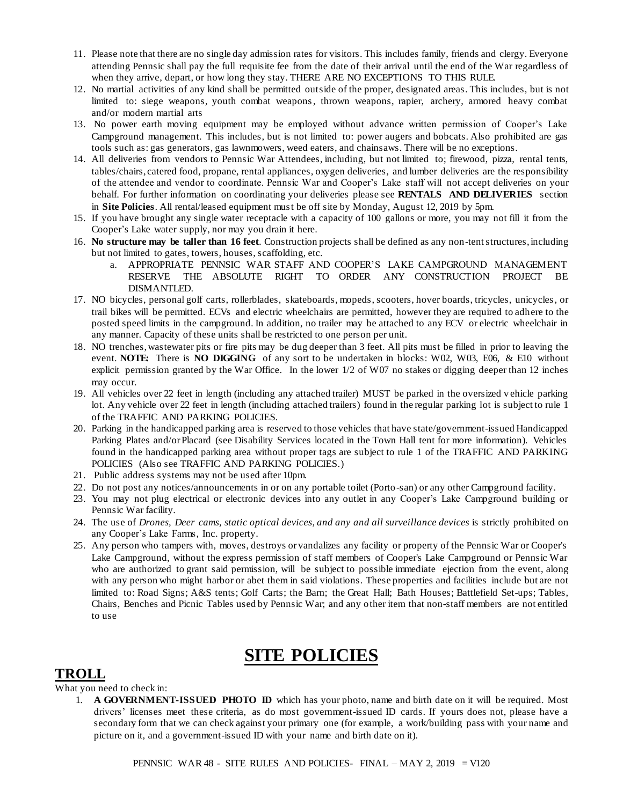- 11. Please note that there are no single day admission rates for visitors. This includes family, friends and clergy. Everyone attending Pennsic shall pay the full requisite fee from the date of their arrival until the end of the War regardless of when they arrive, depart, or how long they stay. THERE ARE NO EXCEPTIONS TO THIS RULE.
- 12. No martial activities of any kind shall be permitted outside of the proper, designated areas. This includes, but is not limited to: siege weapons, youth combat weapons, thrown weapons, rapier, archery, armored heavy combat and/or modern martial arts
- 13. No power earth moving equipment may be employed without advance written permission of Cooper's Lake Campground management. This includes, but is not limited to: power augers and bobcats. Also prohibited are gas tools such as: gas generators, gas lawnmowers, weed eaters, and chainsaws. There will be no exceptions.
- 14. All deliveries from vendors to Pennsic War Attendees, including, but not limited to; firewood, pizza, rental tents, tables/chairs, catered food, propane, rental appliances, oxygen deliveries, and lumber deliveries are the responsibility of the attendee and vendor to coordinate. Pennsic War and Cooper's Lake staff will not accept deliveries on your behalf. For further information on coordinating your deliveries please see **RENTALS AND DELIVERIES** section in **Site Policies**. All rental/leased equipment must be off site by Monday, August 12, 2019 by 5pm.
- 15. If you have brought any single water receptacle with a capacity of 100 gallons or more, you may not fill it from the Cooper's Lake water supply, nor may you drain it here.
- 16. **No structure may be taller than 16 feet**. Construction projects shall be defined as any non-tent structures, including but not limited to gates, towers, houses, scaffolding, etc.
	- a. APPROPRIATE PENNSIC WAR STAFF AND COOPER'S LAKE CAMPGROUND MANAGEMENT RESERVE THE ABSOLUTE RIGHT TO ORDER ANY CONSTRUCTION PROJECT BE DISMANTLED.
- 17. NO bicycles, personal golf carts, rollerblades, skateboards, mopeds, scooters, hover boards, tricycles, unicycles, or trail bikes will be permitted. ECVs and electric wheelchairs are permitted, however they are required to adhere to the posted speed limits in the campground. In addition, no trailer may be attached to any ECV or electric wheelchair in any manner. Capacity of these units shall be restricted to one person per unit.
- 18. NO trenches, wastewater pits or fire pits may be dug deeper than 3 feet. All pits must be filled in prior to leaving the event. **NOTE:** There is **NO DIGGING** of any sort to be undertaken in blocks: W02, W03, E06, & E10 without explicit permission granted by the War Office. In the lower 1/2 of W07 no stakes or digging deeper than 12 inches may occur.
- 19. All vehicles over 22 feet in length (including any attached trailer) MUST be parked in the oversized v ehicle parking lot. Any vehicle over 22 feet in length (including attached trailers) found in the regular parking lot is subject to rule 1 of the TRAFFIC AND PARKING POLICIES.
- 20. Parking in the handicapped parking area is reserved to those vehicles that have state/government-issued Handicapped Parking Plates and/or Placard (see Disability Services located in the Town Hall tent for more information). Vehicles found in the handicapped parking area without proper tags are subject to rule 1 of the TRAFFIC AND PARKING POLICIES (Also see TRAFFIC AND PARKING POLICIES.)
- 21. Public address systems may not be used after 10pm.
- 22. Do not post any notices/announcements in or on any portable toilet (Porto-san) or any other Campground facility.
- 23. You may not plug electrical or electronic devices into any outlet in any Cooper's Lake Campground building or Pennsic War facility.
- 24. The use of *Drones, Deer cams, static optical devices, and any and all surveillance devices* is strictly prohibited on any Cooper's Lake Farms, Inc. property.
- 25. Any person who tampers with, moves, destroys or vandalizes any facility or property of the Pennsic War or Cooper's Lake Campground, without the express permission of staff members of Cooper's Lake Campground or Pennsic War who are authorized to grant said permission, will be subject to possible immediate ejection from the event, along with any person who might harbor or abet them in said violations. These properties and facilities include but are not limited to: Road Signs; A&S tents; Golf Carts; the Barn; the Great Hall; Bath Houses; Battlefield Set-ups; Tables, Chairs, Benches and Picnic Tables used by Pennsic War; and any other item that non-staff members are not entitled to use

# **SITE POLICIES**

### **TROLL**

What you need to check in:

1. **A GOVERNMENT-ISSUED PHOTO ID** which has your photo, name and birth date on it will be required. Most drivers' licenses meet these criteria, as do most government-issued ID cards. If yours does not, please have a secondary form that we can check against your primary one (for example, a work/building pass with your name and picture on it, and a government-issued ID with your name and birth date on it).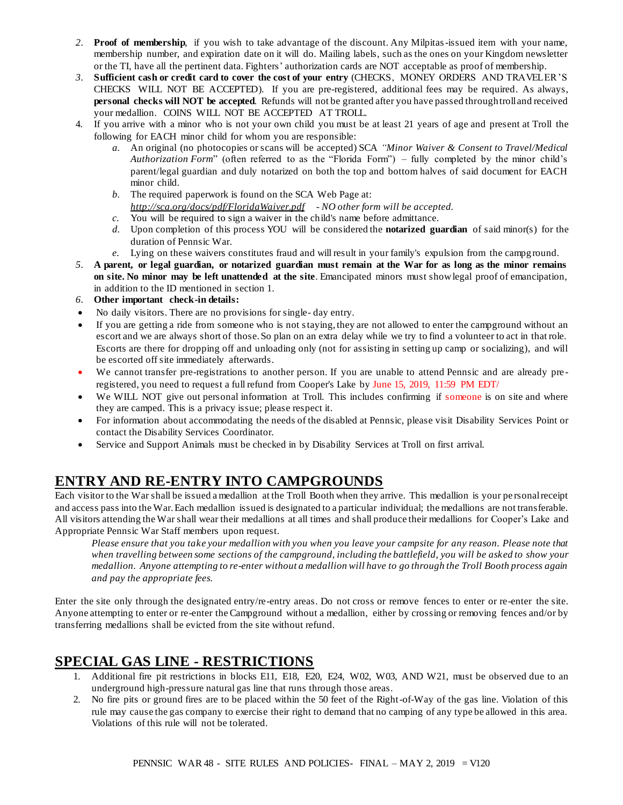- *2.* **Proof of membership**, if you wish to take advantage of the discount. Any Milpitas-issued item with your name, membership number, and expiration date on it will do. Mailing labels, such as the ones on your Kingdom newsletter or the TI, have all the pertinent data. Fighters' authorization cards are NOT acceptable as proof of membership.
- *3.* **Sufficient cash or credit card to cover the cost of your entry** (CHECKS, MONEY ORDERS AND TRAVELER'S CHECKS WILL NOT BE ACCEPTED). If you are pre-registered, additional fees may be required. As always, **personal checks will NOT be accepted**. Refunds will not be granted after you have passed through troll and received your medallion. COINS WILL NOT BE ACCEPTED AT TROLL.
- 4. If you arrive with a minor who is not your own child you must be at least 21 years of age and present at Troll the following for EACH minor child for whom you are responsible:
	- *a.* An original (no photocopies or scans will be accepted) SCA *["Minor Waiver & Consent to Travel/Medical](http://sca.org/docs/pdf/FloridaWaiver.pdf)  [Authorization Form](http://sca.org/docs/pdf/FloridaWaiver.pdf)*" (often referred to as the "Florida Form") – fully completed by the minor child's parent/legal guardian and duly notarized on both the top and bottom halves of said document for EACH minor child.
	- *b.* The required paperwork is found on the SCA Web Page at: *<http://sca.org/docs/pdf/FloridaWaiver.pdf> - NO other form will be accepted.*
	- *c.* You will be required to sign a waiver in the child's name before admittance.
	- *d.* Upon completion of this process YOU will be considered the **notarized guardian** of said minor(s) for the duration of Pennsic War.
	- *e.* Lying on these waivers constitutes fraud and will result in your family's expulsion from the campground.
- *5.* **A parent, or legal guardian, or notarized guardian must remain at the War for as long as the minor remains on site. No minor may be left unattended at the site**. Emancipated minors must show legal proof of emancipation, in addition to the ID mentioned in section 1.
- *6.* **Other important check-in details:**
- No daily visitors. There are no provisions for single- day entry.
- If you are getting a ride from someone who is not staying, they are not allowed to enter the campground without an escort and we are always short of those. So plan on an extra delay while we try to find a volunteer to act in that role. Escorts are there for dropping off and unloading only (not for assisting in setting up camp or socializing), and will be escorted off site immediately afterwards.
- We cannot transfer pre-registrations to another person. If you are unable to attend Pennsic and are already pre registered, you need to request a full refund from Cooper's Lake by June 15, 2019, 11:59 PM EDT/
- We WILL NOT give out personal information at Troll. This includes confirming if someone is on site and where they are camped. This is a privacy issue; please respect it.
- For information about accommodating the needs of the disabled at Pennsic, please visit Disability Services Point or contact the Disability Services Coordinator.
- Service and Support Animals must be checked in by Disability Services at Troll on first arrival.

## **ENTRY AND RE-ENTRY INTO CAMPGROUNDS**

Each visitor to the War shall be issued a medallion at the Troll Booth when they arrive. This medallion is your pe rsonal receipt and access pass into the War. Each medallion issued is designated to a particular individual; the medallions are not transferable. All visitors attending the War shall wear their medallions at all times and shall produce their medallions for Cooper's Lake and Appropriate Pennsic War Staff members upon request.

*Please ensure that you take your medallion with you when you leave your campsite for any reason. Please note that when travelling between some sections of the campground, including the battlefield, you will be asked to show your medallion. Anyone attempting to re-enter without a medallion will have to go through the Troll Booth process again and pay the appropriate fees.* 

Enter the site only through the designated entry/re-entry areas. Do not cross or remove fences to enter or re-enter the site. Anyone attempting to enter or re-enter the Campground without a medallion, either by crossing or removing fences and/or by transferring medallions shall be evicted from the site without refund.

### **SPECIAL GAS LINE - RESTRICTIONS**

- 1. Additional fire pit restrictions in blocks E11, E18, E20, E24, W02, W03, AND W21, must be observed due to an underground high-pressure natural gas line that runs through those areas.
- 2. No fire pits or ground fires are to be placed within the 50 feet of the Right-of-Way of the gas line. Violation of this rule may cause the gas company to exercise their right to demand that no camping of any type be allowed in this area. Violations of this rule will not be tolerated.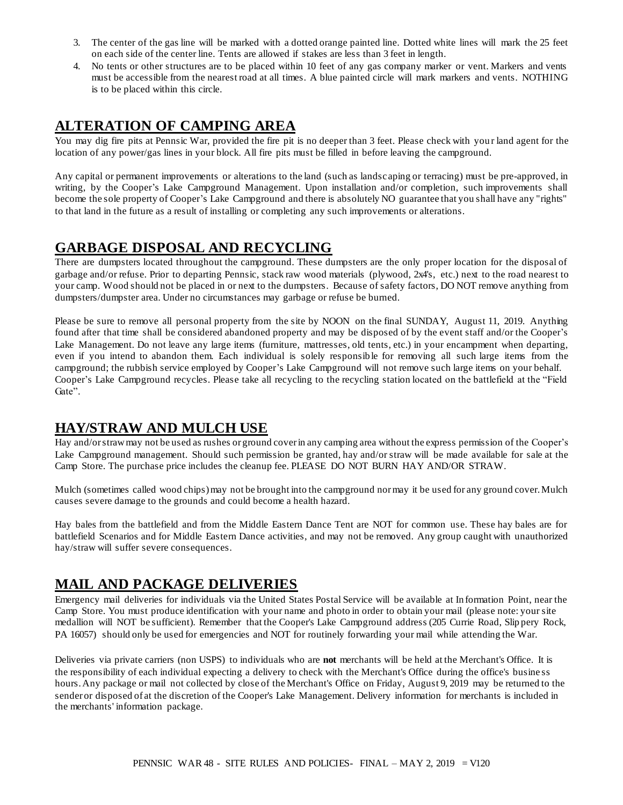- 3. The center of the gas line will be marked with a dotted orange painted line. Dotted white lines will mark the 25 feet on each side of the center line. Tents are allowed if stakes are less than 3 feet in length.
- 4. No tents or other structures are to be placed within 10 feet of any gas company marker or vent. Markers and vents must be accessible from the nearest road at all times. A blue painted circle will mark markers and vents. NOTHING is to be placed within this circle.

### **ALTERATION OF CAMPING AREA**

You may dig fire pits at Pennsic War, provided the fire pit is no deeper than 3 feet. Please check with your land agent for the location of any power/gas lines in your block. All fire pits must be filled in before leaving the campground.

Any capital or permanent improvements or alterations to the land (such as landscaping or terracing) must be pre-approved, in writing, by the Cooper's Lake Campground Management. Upon installation and/or completion, such improvements shall become the sole property of Cooper's Lake Campground and there is absolutely NO guarantee that you shall have any "rights" to that land in the future as a result of installing or completing any such improvements or alterations.

### **GARBAGE DISPOSAL AND RECYCLING**

There are dumpsters located throughout the campground. These dumpsters are the only proper location for the disposal of garbage and/or refuse. Prior to departing Pennsic, stack raw wood materials (plywood, 2x4's, etc.) next to the road nearest to your camp. Wood should not be placed in or next to the dumpsters. Because of safety factors, DO NOT remove anything from dumpsters/dumpster area. Under no circumstances may garbage or refuse be burned.

Please be sure to remove all personal property from the site by NOON on the final SUNDAY, August 11, 2019. Anything found after that time shall be considered abandoned property and may be disposed of by the event staff and/or the Cooper's Lake Management. Do not leave any large items (furniture, mattresses, old tents, etc.) in your encampment when departing, even if you intend to abandon them. Each individual is solely responsible for removing all such large items from the campground; the rubbish service employed by Cooper's Lake Campground will not remove such large items on your behalf. Cooper's Lake Campground recycles. Please take all recycling to the recycling station located on the battlefield at the "Field Gate".

### **HAY/STRAW AND MULCH USE**

Hay and/or straw may not be used as rushes or ground cover in any camping area without the express permission of the Cooper's Lake Campground management. Should such permission be granted, hay and/or straw will be made available for sale at the Camp Store. The purchase price includes the cleanup fee. PLEASE DO NOT BURN HAY AND/OR STRAW.

Mulch (sometimes called wood chips) may not be brought into the campground nor may it be used for any ground cover. Mulch causes severe damage to the grounds and could become a health hazard.

Hay bales from the battlefield and from the Middle Eastern Dance Tent are NOT for common use. These hay bales are for battlefield Scenarios and for Middle Eastern Dance activities, and may not be removed. Any group caught with unauthorized hay/straw will suffer severe consequences.

### **MAIL AND PACKAGE DELIVERIES**

Emergency mail deliveries for individuals via the United States Postal Service will be available at In formation Point, near the Camp Store. You must produce identification with your name and photo in order to obtain your mail (please note: your site medallion will NOT be sufficient). Remember that the Cooper's Lake Campground address (205 Currie Road, Slip pery Rock, PA 16057) should only be used for emergencies and NOT for routinely forwarding your mail while attending the War.

Deliveries via private carriers (non USPS) to individuals who are **not** merchants will be held at the Merchant's Office. It is the responsibility of each individual expecting a delivery to check with the Merchant's Office during the office's busine ss hours. Any package or mail not collected by close of the Merchant's Office on Friday, August 9, 2019 may be returned to the sender or disposed of at the discretion of the Cooper's Lake Management. Delivery information for merchants is included in the merchants' information package.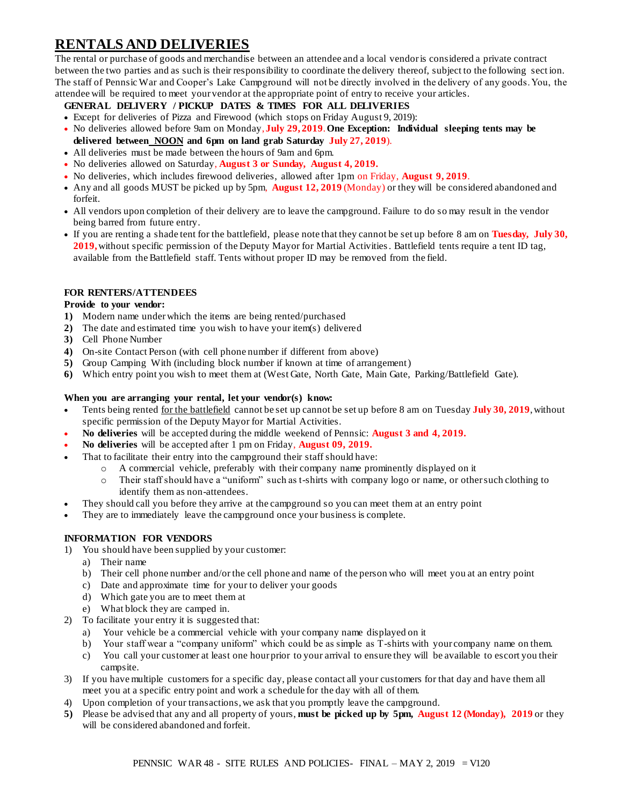# **RENTALS AND DELIVERIES**

The rental or purchase of goods and merchandise between an attendee and a local vendor is considered a private contract between the two parties and as such is their responsibility to coordinate the delivery thereof, subject to the following sect ion. The staff of Pennsic War and Cooper's Lake Campground will not be directly involved in the delivery of any goods. You, the attendee will be required to meet your vendor at the appropriate point of entry to receive your articles.

#### **GENERAL DELIVERY / PICKUP DATES & TIMES FOR ALL DELIVERIES**

- Except for deliveries of Pizza and Firewood (which stops on Friday August 9, 2019):
- No deliveries allowed before 9am on Monday, **July 29, 2019**. **One Exception: Individual sleeping tents may be delivered between NOON and 6pm on land grab Saturday July 27, 2019**).
- All deliveries must be made between the hours of 9am and 6pm.
- No deliveries allowed on Saturday, **August 3 or Sunday, August 4, 2019.**
- No deliveries, which includes firewood deliveries, allowed after 1pm on Friday, **August 9, 2019**.
- Any and all goods MUST be picked up by 5pm, **August 12, 2019** (Monday) or they will be considered abandoned and forfeit.
- All vendors upon completion of their delivery are to leave the campground. Failure to do so may result in the vendor being barred from future entry.
- If you are renting a shade tent for the battlefield, please note that they cannot be set up before 8 am on **Tuesday, July 30, 2019,**without specific permission of the Deputy Mayor for Martial Activities. Battlefield tents require a tent ID tag, available from the Battlefield staff. Tents without proper ID may be removed from the field.

#### **FOR RENTERS/ATTENDEES**

#### **Provide to your vendor:**

- **1)** Modern name under which the items are being rented/purchased
- **2)** The date and estimated time you wish to have your item(s) delivered
- **3)** Cell Phone Number
- **4)** On-site Contact Person (with cell phone number if different from above)
- **5)** Group Camping With (including block number if known at time of arrangement)
- **6)** Which entry point you wish to meet them at (West Gate, North Gate, Main Gate, Parking/Battlefield Gate).

#### **When you are arranging your rental, let your vendor(s) know:**

- Tents being rented for the battlefield cannot be set up cannot be set up before 8 am on Tuesday **July 30, 2019**, without specific permission of the Deputy Mayor for Martial Activities.
- **No deliveries** will be accepted during the middle weekend of Pennsic: **August 3 and 4, 2019.**
- **No deliveries** will be accepted after 1 pm on Friday, **August 09, 2019.**
- That to facilitate their entry into the campground their staff should have:
	- o A commercial vehicle, preferably with their company name prominently displayed on it
	- Their staff should have a "uniform" such as t-shirts with company logo or name, or other such clothing to identify them as non-attendees.
- They should call you before they arrive at the campground so you can meet them at an entry point
- They are to immediately leave the campground once your business is complete.

#### **INFORMATION FOR VENDORS**

- 1) You should have been supplied by your customer:
	- a) Their name
	- b) Their cell phone number and/or the cell phone and name of the person who will meet you at an entry point
	- c) Date and approximate time for your to deliver your goods
	- d) Which gate you are to meet them at
	- e) What block they are camped in.
- 2) To facilitate your entry it is suggested that:
	- a) Your vehicle be a commercial vehicle with your company name displayed on it
	- b) Your staff wear a "company uniform" which could be as simple as T-shirts with your company name on them.
	- c) You call your customer at least one hour prior to your arrival to ensure they will be available to escort you their campsite.
- 3) If you have multiple customers for a specific day, please contact all your customers for that day and have them all meet you at a specific entry point and work a schedule for the day with all of them.
- 4) Upon completion of your transactions, we ask that you promptly leave the campground.
- **5)** Please be advised that any and all property of yours, **must be picked up by 5pm, August 12 (Monday), 2019** or they will be considered abandoned and forfeit.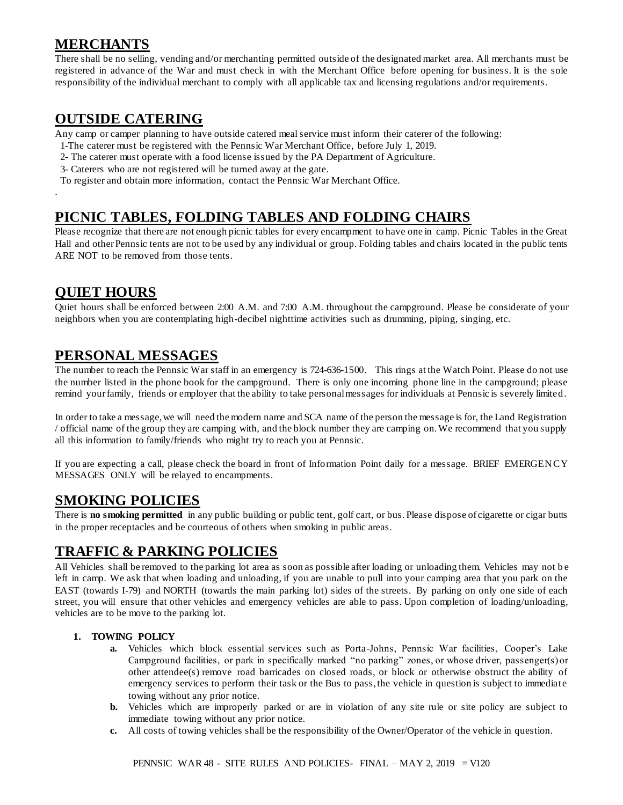### **MERCHANTS**

There shall be no selling, vending and/or merchanting permitted outside of the designated market area. All merchants must be registered in advance of the War and must check in with the Merchant Office before opening for business. It is the sole responsibility of the individual merchant to comply with all applicable tax and licensing regulations and/or requirements.

### **OUTSIDE CATERING**

Any camp or camper planning to have outside catered meal service must inform their caterer of the following:

- 1-The caterer must be registered with the Pennsic War Merchant Office, before July 1, 2019.
- 2- The caterer must operate with a food license issued by the PA Department of Agriculture.
- 3- Caterers who are not registered will be turned away at the gate.

To register and obtain more information, contact the Pennsic War Merchant Office.

### **PICNIC TABLES, FOLDING TABLES AND FOLDING CHAIRS**

Please recognize that there are not enough picnic tables for every encampment to have one in camp. Picnic Tables in the Great Hall and other Pennsic tents are not to be used by any individual or group. Folding tables and chairs located in the public tents ARE NOT to be removed from those tents.

### **QUIET HOURS**

.

Quiet hours shall be enforced between 2:00 A.M. and 7:00 A.M. throughout the campground. Please be considerate of your neighbors when you are contemplating high-decibel nighttime activities such as drumming, piping, singing, etc.

### **PERSONAL MESSAGES**

The number to reach the Pennsic War staff in an emergency is 724-636-1500. This rings at the Watch Point. Please do not use the number listed in the phone book for the campground. There is only one incoming phone line in the campground; please remind your family, friends or employer that the ability to take personal messages for individuals at Pennsic is severely limited.

In order to take a message, we will need the modern name and SCA name of the person the message is for, the Land Registration / official name of the group they are camping with, and the block number they are camping on. We recommend that you supply all this information to family/friends who might try to reach you at Pennsic.

If you are expecting a call, please check the board in front of Information Point daily for a message. BRIEF EMERGENCY MESSAGES ONLY will be relayed to encampments.

### **SMOKING POLICIES**

There is **no smoking permitted** in any public building or public tent, golf cart, or bus. Please dispose of cigarette or cigar butts in the proper receptacles and be courteous of others when smoking in public areas.

### **TRAFFIC & PARKING POLICIES**

All Vehicles shall be removed to the parking lot area as soon as possible after loading or unloading them. Vehicles may not b e left in camp. We ask that when loading and unloading, if you are unable to pull into your camping area that you park on the EAST (towards I-79) and NORTH (towards the main parking lot) sides of the streets. By parking on only one side of each street, you will ensure that other vehicles and emergency vehicles are able to pass. Upon completion of loading/unloading, vehicles are to be move to the parking lot.

#### **1. TOWING POLICY**

- **a.** Vehicles which block essential services such as Porta-Johns, Pennsic War facilities, Cooper's Lake Campground facilities, or park in specifically marked "no parking" zones, or whose driver, passenger(s) or other attendee(s) remove road barricades on closed roads, or block or otherwise obstruct the ability of emergency services to perform their task or the Bus to pass, the vehicle in question is subject to immediate towing without any prior notice.
- **b.** Vehicles which are improperly parked or are in violation of any site rule or site policy are subject to immediate towing without any prior notice.
- **c.** All costs of towing vehicles shall be the responsibility of the Owner/Operator of the vehicle in question.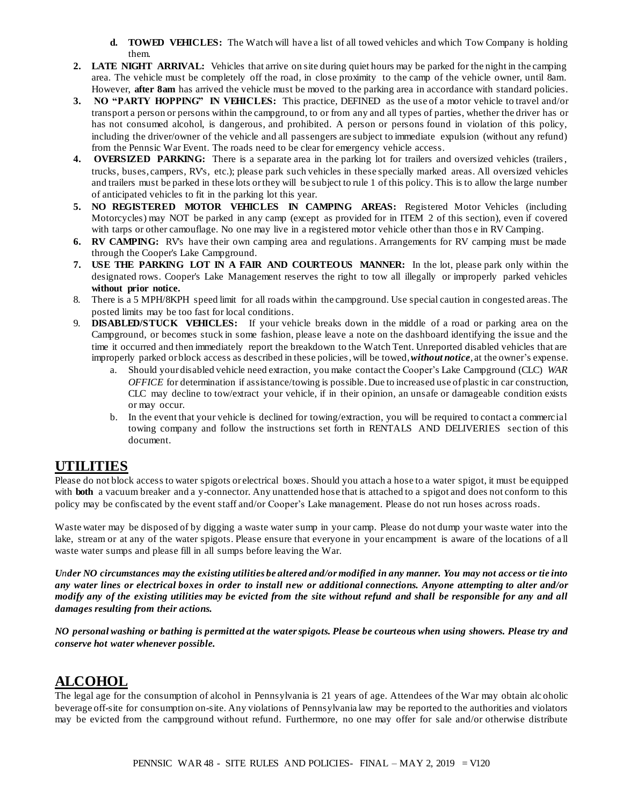- **d. TOWED VEHICLES:** The Watch will have a list of all towed vehicles and which Tow Company is holding them.
- **2. LATE NIGHT ARRIVAL:** Vehicles that arrive on site during quiet hours may be parked for the night in the camping area. The vehicle must be completely off the road, in close proximity to the camp of the vehicle owner, until 8am. However, **after 8am** has arrived the vehicle must be moved to the parking area in accordance with standard policies.
- **3. NO "PARTY HOPPING" IN VEHICLES:** This practice, DEFINED as the use of a motor vehicle to travel and/or transport a person or persons within the campground, to or from any and all types of parties, whether the driver has or has not consumed alcohol, is dangerous, and prohibited. A person or persons found in violation of this policy, including the driver/owner of the vehicle and all passengers are subject to immediate expulsion (without any refund) from the Pennsic War Event. The roads need to be clear for emergency vehicle access.
- **4. OVERSIZED PARKING:** There is a separate area in the parking lot for trailers and oversized vehicles (trailers, trucks, buses, campers, RV's, etc.); please park such vehicles in these specially marked areas. All oversized vehicles and trailers must be parked in these lots or they will be subject to rule 1 of this policy. This is to allow the large number of anticipated vehicles to fit in the parking lot this year.
- **5. NO REGISTERED MOTOR VEHICLES IN CAMPING AREAS:** Registered Motor Vehicles (including Motorcycles) may NOT be parked in any camp (except as provided for in ITEM 2 of this section), even if covered with tarps or other camouflage. No one may live in a registered motor vehicle other than thos e in RV Camping.
- **6. RV CAMPING:** RV's have their own camping area and regulations. Arrangements for RV camping must be made through the Cooper's Lake Campground.
- **7. USE THE PARKING LOT IN A FAIR AND COURTEOUS MANNER:** In the lot, please park only within the designated rows. Cooper's Lake Management reserves the right to tow all illegally or improperly parked vehicles **without prior notice.**
- 8. There is a 5 MPH/8KPH speed limit for all roads within the campground. Use special caution in congested areas. The posted limits may be too fast for local conditions.
- 9. **DISABLED/STUCK VEHICLES:** If your vehicle breaks down in the middle of a road or parking area on the Campground, or becomes stuck in some fashion, please leave a note on the dashboard identifying the issue and the time it occurred and then immediately report the breakdown to the Watch Tent. Unreported disabled vehicles that are improperly parked or block access as described in these policies, will be towed, *without notice*, at the owner's expense.
	- a. Should your disabled vehicle need extraction, you make contact the Cooper's Lake Campground (CLC) *WAR OFFICE* for determination if assistance/towing is possible. Due to increased use of plastic in car construction, CLC may decline to tow/extract your vehicle, if in their opinion, an unsafe or damageable condition exists or may occur.
	- b. In the event that your vehicle is declined for towing/extraction, you will be required to contact a commercial towing company and follow the instructions set forth in RENTALS AND DELIVERIES sec tion of this document.

### **UTILITIES**

Please do not block access to water spigots or electrical boxes. Should you attach a hose to a water spigot, it must be equipped with **both** a vacuum breaker and a y-connector. Any unattended hose that is attached to a spigot and does not conform to this policy may be confiscated by the event staff and/or Cooper's Lake management. Please do not run hoses across roads.

Waste water may be disposed of by digging a waste water sump in your camp. Please do not dump your waste water into the lake, stream or at any of the water spigots. Please ensure that everyone in your encampment is aware of the locations of a ll waste water sumps and please fill in all sumps before leaving the War.

*Under NO circumstances may the existing utilities be altered and/or modified in any manner. You may not access or tie into any water lines or electrical boxes in order to install new or additional connections. Anyone attempting to alter and/or modify any of the existing utilities may be evicted from the site without refund and shall be responsible for any and all damages resulting from their actions.*

*NO personal washing or bathing is permitted at the water spigots. Please be courteous when using showers. Please try and conserve hot water whenever possible.* 

### **ALCOHOL**

The legal age for the consumption of alcohol in Pennsylvania is 21 years of age. Attendees of the War may obtain alc oholic beverage off-site for consumption on-site. Any violations of Pennsylvania law may be reported to the authorities and violators may be evicted from the campground without refund. Furthermore, no one may offer for sale and/or otherwise distribute